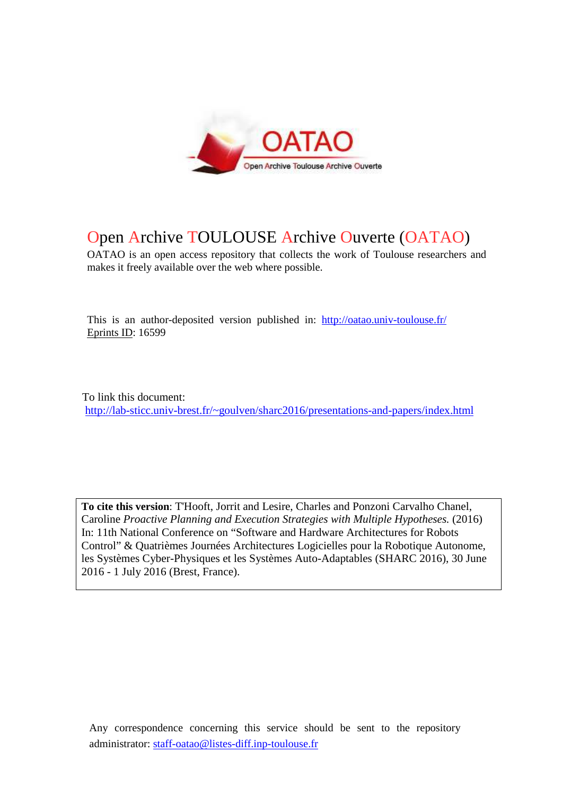

# Open Archive TOULOUSE Archive Ouverte (OATAO)

OATAO is an open access repository that collects the work of Toulouse researchers and makes it freely available over the web where possible.

This is an author-deposited version published in: http://oatao.univ-toulouse.fr/ Eprints ID: 16599

To link this document: http://lab-sticc.univ-brest.fr/~goulven/sharc2016/presentations-and-papers/index.html

**To cite this version**: T'Hooft, Jorrit and Lesire, Charles and Ponzoni Carvalho Chanel, Caroline *Proactive Planning and Execution Strategies with Multiple Hypotheses.* (2016) In: 11th National Conference on "Software and Hardware Architectures for Robots Control" & Quatrièmes Journées Architectures Logicielles pour la Robotique Autonome, les Systèmes Cyber-Physiques et les Systèmes Auto-Adaptables (SHARC 2016), 30 June 2016 - 1 July 2016 (Brest, France).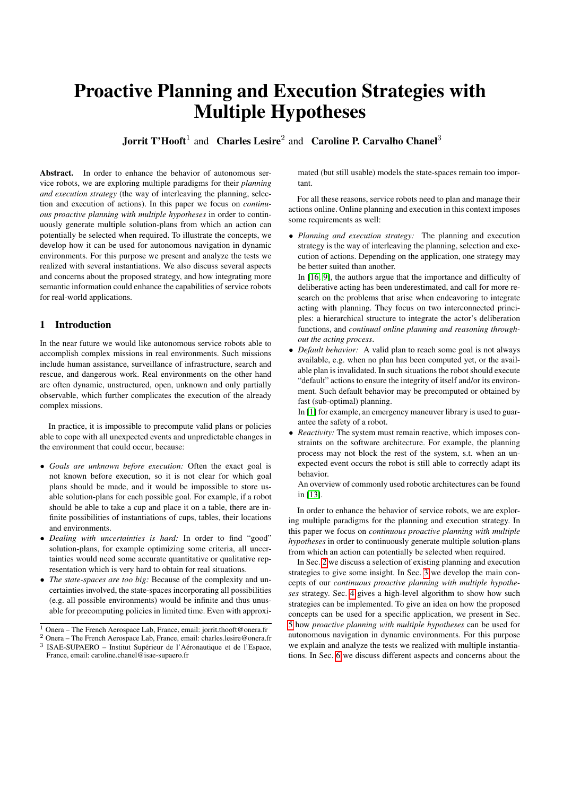# Proactive Planning and Execution Strategies with Multiple Hypotheses

**Jorrit T'Hooft**<sup>1</sup> and Charles Lesire<sup>2</sup> and Caroline P. Carvalho Chanel<sup>3</sup>

Abstract. In order to enhance the behavior of autonomous service robots, we are exploring multiple paradigms for their *planning and execution strategy* (the way of interleaving the planning, selection and execution of actions). In this paper we focus on *continuous proactive planning with multiple hypotheses* in order to continuously generate multiple solution-plans from which an action can potentially be selected when required. To illustrate the concepts, we develop how it can be used for autonomous navigation in dynamic environments. For this purpose we present and analyze the tests we realized with several instantiations. We also discuss several aspects and concerns about the proposed strategy, and how integrating more semantic information could enhance the capabilities of service robots for real-world applications.

# <span id="page-1-0"></span>1 Introduction

In the near future we would like autonomous service robots able to accomplish complex missions in real environments. Such missions include human assistance, surveillance of infrastructure, search and rescue, and dangerous work. Real environments on the other hand are often dynamic, unstructured, open, unknown and only partially observable, which further complicates the execution of the already complex missions.

In practice, it is impossible to precompute valid plans or policies able to cope with all unexpected events and unpredictable changes in the environment that could occur, because:

- *Goals are unknown before execution:* Often the exact goal is not known before execution, so it is not clear for which goal plans should be made, and it would be impossible to store usable solution-plans for each possible goal. For example, if a robot should be able to take a cup and place it on a table, there are infinite possibilities of instantiations of cups, tables, their locations and environments.
- *Dealing with uncertainties is hard:* In order to find "good" solution-plans, for example optimizing some criteria, all uncertainties would need some accurate quantitative or qualitative representation which is very hard to obtain for real situations.
- *The state-spaces are too big:* Because of the complexity and uncertainties involved, the state-spaces incorporating all possibilities (e.g. all possible environments) would be infinite and thus unusable for precomputing policies in limited time. Even with approxi-

mated (but still usable) models the state-spaces remain too important.

For all these reasons, service robots need to plan and manage their actions online. Online planning and execution in this context imposes some requirements as well:

• *Planning and execution strategy:* The planning and execution strategy is the way of interleaving the planning, selection and execution of actions. Depending on the application, one strategy may be better suited than another.

In [\[16,](#page-9-0) [9\]](#page-9-1), the authors argue that the importance and difficulty of deliberative acting has been underestimated, and call for more research on the problems that arise when endeavoring to integrate acting with planning. They focus on two interconnected principles: a hierarchical structure to integrate the actor's deliberation functions, and *continual online planning and reasoning throughout the acting process*.

• *Default behavior:* A valid plan to reach some goal is not always available, e.g. when no plan has been computed yet, or the available plan is invalidated. In such situations the robot should execute "default" actions to ensure the integrity of itself and/or its environment. Such default behavior may be precomputed or obtained by fast (sub-optimal) planning.

In [\[1\]](#page-9-2) for example, an emergency maneuver library is used to guarantee the safety of a robot.

• *Reactivity:* The system must remain reactive, which imposes constraints on the software architecture. For example, the planning process may not block the rest of the system, s.t. when an unexpected event occurs the robot is still able to correctly adapt its behavior.

An overview of commonly used robotic architectures can be found in [\[13\]](#page-9-3).

In order to enhance the behavior of service robots, we are exploring multiple paradigms for the planning and execution strategy. In this paper we focus on *continuous proactive planning with multiple hypotheses* in order to continuously generate multiple solution-plans from which an action can potentially be selected when required.

In Sec. [2](#page-2-0) we discuss a selection of existing planning and execution strategies to give some insight. In Sec. [3](#page-2-1) we develop the main concepts of our *continuous proactive planning with multiple hypotheses* strategy. Sec. [4](#page-3-0) gives a high-level algorithm to show how such strategies can be implemented. To give an idea on how the proposed concepts can be used for a specific application, we present in Sec. [5](#page-4-0) how *proactive planning with multiple hypotheses* can be used for autonomous navigation in dynamic environments. For this purpose we explain and analyze the tests we realized with multiple instantiations. In Sec. [6](#page-8-0) we discuss different aspects and concerns about the

<sup>1</sup> Onera – The French Aerospace Lab, France, email: jorrit.thooft@onera.fr

<sup>2</sup> Onera – The French Aerospace Lab, France, email: charles.lesire@onera.fr

<sup>&</sup>lt;sup>3</sup> ISAE-SUPAERO - Institut Supérieur de l'Aéronautique et de l'Espace, France, email: caroline.chanel@isae-supaero.fr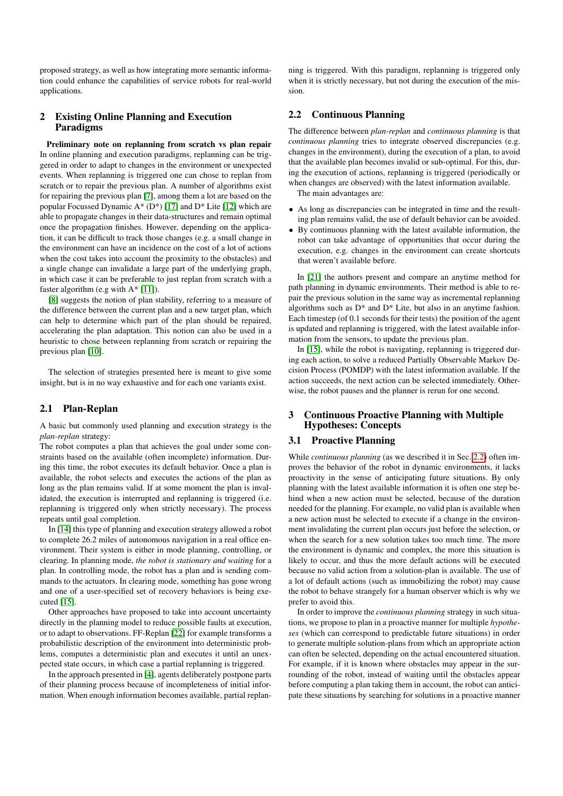proposed strategy, as well as how integrating more semantic information could enhance the capabilities of service robots for real-world applications.

# <span id="page-2-0"></span>2 Existing Online Planning and Execution Paradigms

<span id="page-2-3"></span>Preliminary note on replanning from scratch vs plan repair In online planning and execution paradigms, replanning can be triggered in order to adapt to changes in the environment or unexpected events. When replanning is triggered one can chose to replan from scratch or to repair the previous plan. A number of algorithms exist for repairing the previous plan [\[7\]](#page-9-4), among them a lot are based on the popular Focussed Dynamic A\* (D\*) [\[17\]](#page-9-5) and D\* Lite [\[12\]](#page-9-6) which are able to propagate changes in their data-structures and remain optimal once the propagation finishes. However, depending on the application, it can be difficult to track those changes (e.g. a small change in the environment can have an incidence on the cost of a lot of actions when the cost takes into account the proximity to the obstacles) and a single change can invalidate a large part of the underlying graph, in which case it can be preferable to just replan from scratch with a faster algorithm (e.g with A\* [\[11\]](#page-9-7)).

[\[8\]](#page-9-8) suggests the notion of plan stability, referring to a measure of the difference between the current plan and a new target plan, which can help to determine which part of the plan should be repaired, accelerating the plan adaptation. This notion can also be used in a heuristic to chose between replanning from scratch or repairing the previous plan [\[10\]](#page-9-9).

The selection of strategies presented here is meant to give some insight, but is in no way exhaustive and for each one variants exist.

#### 2.1 Plan-Replan

A basic but commonly used planning and execution strategy is the *plan-replan* strategy:

The robot computes a plan that achieves the goal under some constraints based on the available (often incomplete) information. During this time, the robot executes its default behavior. Once a plan is available, the robot selects and executes the actions of the plan as long as the plan remains valid. If at some moment the plan is invalidated, the execution is interrupted and replanning is triggered (i.e. replanning is triggered only when strictly necessary). The process repeats until goal completion.

In [\[14\]](#page-9-10) this type of planning and execution strategy allowed a robot to complete 26.2 miles of autonomous navigation in a real office environment. Their system is either in mode planning, controlling, or clearing. In planning mode, *the robot is stationary and waiting* for a plan. In controlling mode, the robot has a plan and is sending commands to the actuators. In clearing mode, something has gone wrong and one of a user-specified set of recovery behaviors is being executed [\[15\]](#page-9-11).

Other approaches have proposed to take into account uncertainty directly in the planning model to reduce possible faults at execution, or to adapt to observations. FF-Replan [\[22\]](#page-9-12) for example transforms a probabilistic description of the environment into deterministic problems, computes a deterministic plan and executes it until an unexpected state occurs, in which case a partial replanning is triggered.

In the approach presented in [\[4\]](#page-9-13), agents deliberately postpone parts of their planning process because of incompleteness of initial information. When enough information becomes available, partial replanning is triggered. With this paradigm, replanning is triggered only when it is strictly necessary, but not during the execution of the mission.

## <span id="page-2-2"></span>2.2 Continuous Planning

The difference between *plan-replan* and *continuous planning* is that *continuous planning* tries to integrate observed discrepancies (e.g. changes in the environment), during the execution of a plan, to avoid that the available plan becomes invalid or sub-optimal. For this, during the execution of actions, replanning is triggered (periodically or when changes are observed) with the latest information available.

The main advantages are:

- As long as discrepancies can be integrated in time and the resulting plan remains valid, the use of default behavior can be avoided.
- By continuous planning with the latest available information, the robot can take advantage of opportunities that occur during the execution, e.g. changes in the environment can create shortcuts that weren't available before.

In [\[21\]](#page-9-14) the authors present and compare an anytime method for path planning in dynamic environments. Their method is able to repair the previous solution in the same way as incremental replanning algorithms such as  $D^*$  and  $D^*$  Lite, but also in an anytime fashion. Each timestep (of 0.1 seconds for their tests) the position of the agent is updated and replanning is triggered, with the latest available information from the sensors, to update the previous plan.

In [\[15\]](#page-9-11), while the robot is navigating, replanning is triggered during each action, to solve a reduced Partially Observable Markov Decision Process (POMDP) with the latest information available. If the action succeeds, the next action can be selected immediately. Otherwise, the robot pauses and the planner is rerun for one second.

#### <span id="page-2-1"></span>3 Continuous Proactive Planning with Multiple Hypotheses: Concepts

# 3.1 Proactive Planning

While *continuous planning* (as we described it in Sec. [2.2\)](#page-2-2) often improves the behavior of the robot in dynamic environments, it lacks proactivity in the sense of anticipating future situations. By only planning with the latest available information it is often one step behind when a new action must be selected, because of the duration needed for the planning. For example, no valid plan is available when a new action must be selected to execute if a change in the environment invalidating the current plan occurs just before the selection, or when the search for a new solution takes too much time. The more the environment is dynamic and complex, the more this situation is likely to occur, and thus the more default actions will be executed because no valid action from a solution-plan is available. The use of a lot of default actions (such as immobilizing the robot) may cause the robot to behave strangely for a human observer which is why we prefer to avoid this.

In order to improve the *continuous planning* strategy in such situations, we propose to plan in a proactive manner for multiple *hypotheses* (which can correspond to predictable future situations) in order to generate multiple solution-plans from which an appropriate action can often be selected, depending on the actual encountered situation. For example, if it is known where obstacles may appear in the surrounding of the robot, instead of waiting until the obstacles appear before computing a plan taking them in account, the robot can anticipate these situations by searching for solutions in a proactive manner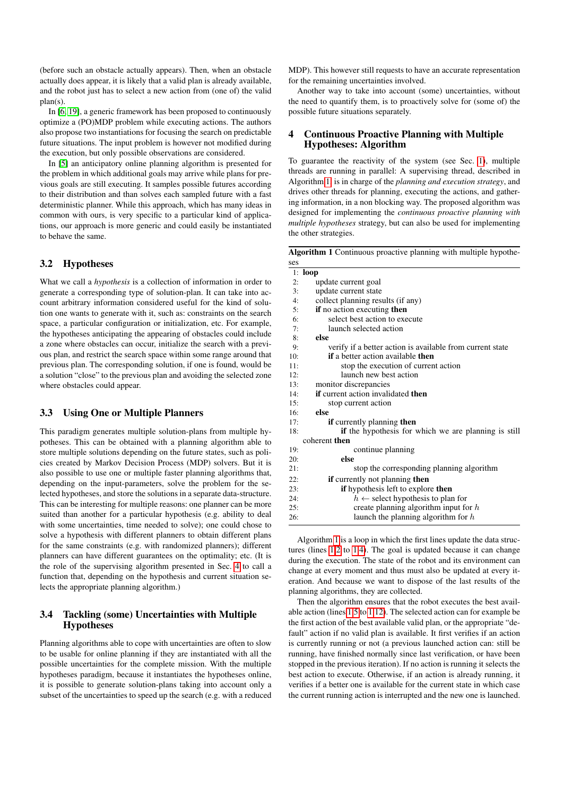(before such an obstacle actually appears). Then, when an obstacle actually does appear, it is likely that a valid plan is already available, and the robot just has to select a new action from (one of) the valid plan(s).

In [\[6,](#page-9-15) [19\]](#page-9-16), a generic framework has been proposed to continuously optimize a (PO)MDP problem while executing actions. The authors also propose two instantiations for focusing the search on predictable future situations. The input problem is however not modified during the execution, but only possible observations are considered.

In [\[5\]](#page-9-17) an anticipatory online planning algorithm is presented for the problem in which additional goals may arrive while plans for previous goals are still executing. It samples possible futures according to their distribution and than solves each sampled future with a fast deterministic planner. While this approach, which has many ideas in common with ours, is very specific to a particular kind of applications, our approach is more generic and could easily be instantiated to behave the same.

# 3.2 Hypotheses

What we call a *hypothesis* is a collection of information in order to generate a corresponding type of solution-plan. It can take into account arbitrary information considered useful for the kind of solution one wants to generate with it, such as: constraints on the search space, a particular configuration or initialization, etc. For example, the hypotheses anticipating the appearing of obstacles could include a zone where obstacles can occur, initialize the search with a previous plan, and restrict the search space within some range around that previous plan. The corresponding solution, if one is found, would be a solution "close" to the previous plan and avoiding the selected zone where obstacles could appear.

# 3.3 Using One or Multiple Planners

This paradigm generates multiple solution-plans from multiple hypotheses. This can be obtained with a planning algorithm able to store multiple solutions depending on the future states, such as policies created by Markov Decision Process (MDP) solvers. But it is also possible to use one or multiple faster planning algorithms that, depending on the input-parameters, solve the problem for the selected hypotheses, and store the solutions in a separate data-structure. This can be interesting for multiple reasons: one planner can be more suited than another for a particular hypothesis (e.g. ability to deal with some uncertainties, time needed to solve); one could chose to solve a hypothesis with different planners to obtain different plans for the same constraints (e.g. with randomized planners); different planners can have different guarantees on the optimality; etc. (It is the role of the supervising algorithm presented in Sec. [4](#page-3-0) to call a function that, depending on the hypothesis and current situation selects the appropriate planning algorithm.)

#### 3.4 Tackling (some) Uncertainties with Multiple Hypotheses

Planning algorithms able to cope with uncertainties are often to slow to be usable for online planning if they are instantiated with all the possible uncertainties for the complete mission. With the multiple hypotheses paradigm, because it instantiates the hypotheses online, it is possible to generate solution-plans taking into account only a subset of the uncertainties to speed up the search (e.g. with a reduced

MDP). This however still requests to have an accurate representation for the remaining uncertainties involved.

Another way to take into account (some) uncertainties, without the need to quantify them, is to proactively solve for (some of) the possible future situations separately.

# <span id="page-3-0"></span>4 Continuous Proactive Planning with Multiple Hypotheses: Algorithm

To guarantee the reactivity of the system (see Sec. [1\)](#page-1-0), multiple threads are running in parallel: A supervising thread, described in Algorithm [1,](#page-3-1) is in charge of the *planning and execution strategy*, and drives other threads for planning, executing the actions, and gathering information, in a non blocking way. The proposed algorithm was designed for implementing the *continuous proactive planning with multiple hypotheses* strategy, but can also be used for implementing the other strategies.

<span id="page-3-1"></span>Algorithm 1 Continuous proactive planning with multiple hypothe- $\epsilon$  $\alpha$ 

| ບບບ |                                                             |
|-----|-------------------------------------------------------------|
|     | $1:$ loop                                                   |
| 2:  | update current goal                                         |
| 3:  | update current state                                        |
| 4:  | collect planning results (if any)                           |
| 5:  | if no action executing then                                 |
| 6:  | select best action to execute                               |
| 7:  | launch selected action                                      |
| 8:  | else                                                        |
| 9:  | verify if a better action is available from current state   |
| 10: | <b>if</b> a better action available <b>then</b>             |
| 11: | stop the execution of current action                        |
| 12: | launch new best action                                      |
| 13: | monitor discrepancies                                       |
| 14: | <b>if</b> current action invalidated <b>then</b>            |
| 15: | stop current action                                         |
| 16: | else                                                        |
| 17: | <b>if</b> currently planning <b>then</b>                    |
| 18: | <b>if</b> the hypothesis for which we are planning is still |
|     | coherent then                                               |
| 19: | continue planning                                           |
| 20: | else                                                        |
| 21: | stop the corresponding planning algorithm                   |
| 22: | <b>if</b> currently not planning <b>then</b>                |
| 23: | <b>if</b> hypothesis left to explore <b>then</b>            |
| 24: | $h \leftarrow$ select hypothesis to plan for                |
| 25: | create planning algorithm input for $h$                     |
| 26: | launch the planning algorithm for $h$                       |
|     |                                                             |

Algorithm [1](#page-3-1) is a loop in which the first lines update the data structures (lines [1.2](#page-3-1) to [1.4\)](#page-3-1). The goal is updated because it can change during the execution. The state of the robot and its environment can change at every moment and thus must also be updated at every iteration. And because we want to dispose of the last results of the planning algorithms, they are collected.

Then the algorithm ensures that the robot executes the best available action (lines [1.5](#page-3-1) to [1.12\)](#page-3-1). The selected action can for example be the first action of the best available valid plan, or the appropriate "default" action if no valid plan is available. It first verifies if an action is currently running or not (a previous launched action can: still be running, have finished normally since last verification, or have been stopped in the previous iteration). If no action is running it selects the best action to execute. Otherwise, if an action is already running, it verifies if a better one is available for the current state in which case the current running action is interrupted and the new one is launched.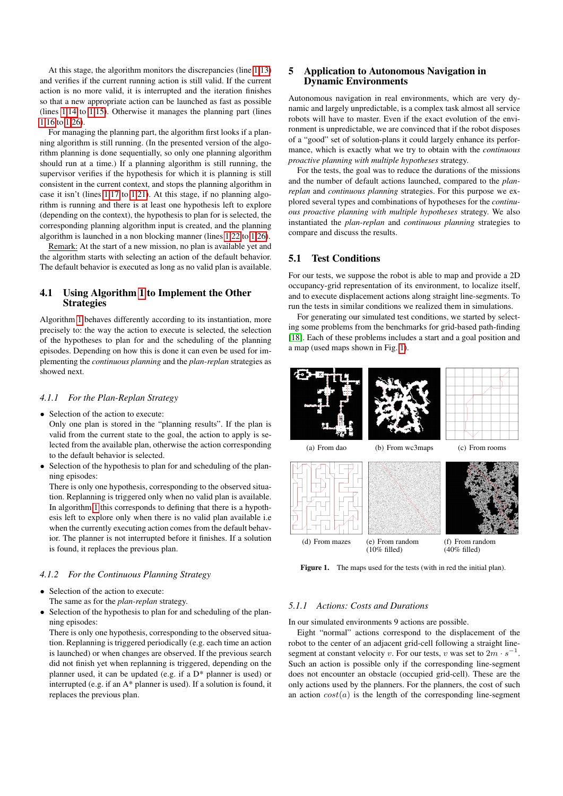At this stage, the algorithm monitors the discrepancies (line [1.13\)](#page-3-1) and verifies if the current running action is still valid. If the current action is no more valid, it is interrupted and the iteration finishes so that a new appropriate action can be launched as fast as possible (lines [1.14](#page-3-1) to [1.15\)](#page-3-1). Otherwise it manages the planning part (lines [1.16](#page-3-1) to [1.26\)](#page-3-1).

For managing the planning part, the algorithm first looks if a planning algorithm is still running. (In the presented version of the algorithm planning is done sequentially, so only one planning algorithm should run at a time.) If a planning algorithm is still running, the supervisor verifies if the hypothesis for which it is planning is still consistent in the current context, and stops the planning algorithm in case it isn't (lines [1.17](#page-3-1) to [1.21\)](#page-3-1). At this stage, if no planning algorithm is running and there is at least one hypothesis left to explore (depending on the context), the hypothesis to plan for is selected, the corresponding planning algorithm input is created, and the planning algorithm is launched in a non blocking manner (lines [1.22](#page-3-1) to [1.26\)](#page-3-1).

Remark: At the start of a new mission, no plan is available yet and the algorithm starts with selecting an action of the default behavior. The default behavior is executed as long as no valid plan is available.

## 4.1 Using Algorithm [1](#page-3-1) to Implement the Other **Strategies**

Algorithm [1](#page-3-1) behaves differently according to its instantiation, more precisely to: the way the action to execute is selected, the selection of the hypotheses to plan for and the scheduling of the planning episodes. Depending on how this is done it can even be used for implementing the *continuous planning* and the *plan-replan* strategies as showed next.

#### *4.1.1 For the Plan-Replan Strategy*

• Selection of the action to execute:

Only one plan is stored in the "planning results". If the plan is valid from the current state to the goal, the action to apply is selected from the available plan, otherwise the action corresponding to the default behavior is selected.

• Selection of the hypothesis to plan for and scheduling of the planning episodes:

There is only one hypothesis, corresponding to the observed situation. Replanning is triggered only when no valid plan is available. In algorithm [1](#page-3-1) this corresponds to defining that there is a hypothesis left to explore only when there is no valid plan available i.e when the currently executing action comes from the default behavior. The planner is not interrupted before it finishes. If a solution is found, it replaces the previous plan.

#### *4.1.2 For the Continuous Planning Strategy*

- Selection of the action to execute: The same as for the *plan-replan* strategy.
- Selection of the hypothesis to plan for and scheduling of the planning episodes:

There is only one hypothesis, corresponding to the observed situation. Replanning is triggered periodically (e.g. each time an action is launched) or when changes are observed. If the previous search did not finish yet when replanning is triggered, depending on the planner used, it can be updated (e.g. if a D\* planner is used) or interrupted (e.g. if an A\* planner is used). If a solution is found, it replaces the previous plan.

#### <span id="page-4-0"></span>5 Application to Autonomous Navigation in Dynamic Environments

Autonomous navigation in real environments, which are very dynamic and largely unpredictable, is a complex task almost all service robots will have to master. Even if the exact evolution of the environment is unpredictable, we are convinced that if the robot disposes of a "good" set of solution-plans it could largely enhance its performance, which is exactly what we try to obtain with the *continuous proactive planning with multiple hypotheses* strategy.

For the tests, the goal was to reduce the durations of the missions and the number of default actions launched, compared to the *planreplan* and *continuous planning* strategies. For this purpose we explored several types and combinations of hypotheses for the *continuous proactive planning with multiple hypotheses* strategy. We also instantiated the *plan-replan* and *continuous planning* strategies to compare and discuss the results.

## 5.1 Test Conditions

For our tests, we suppose the robot is able to map and provide a 2D occupancy-grid representation of its environment, to localize itself, and to execute displacement actions along straight line-segments. To run the tests in similar conditions we realized them in simulations.

For generating our simulated test conditions, we started by selecting some problems from the benchmarks for grid-based path-finding [\[18\]](#page-9-18). Each of these problems includes a start and a goal position and a map (used maps shown in Fig. [1\)](#page-4-1).



<span id="page-4-1"></span>Figure 1. The maps used for the tests (with in red the initial plan).

#### *5.1.1 Actions: Costs and Durations*

In our simulated environments 9 actions are possible.

Eight "normal" actions correspond to the displacement of the robot to the center of an adjacent grid-cell following a straight linesegment at constant velocity v. For our tests, v was set to  $2m \cdot s^{-1}$ . Such an action is possible only if the corresponding line-segment does not encounter an obstacle (occupied grid-cell). These are the only actions used by the planners. For the planners, the cost of such an action  $cost(a)$  is the length of the corresponding line-segment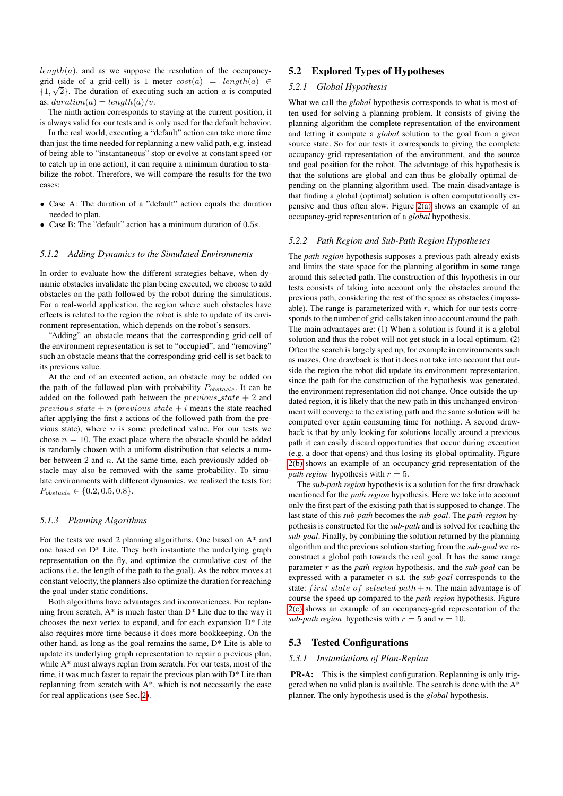$length(a)$ , and as we suppose the resolution of the occupancygrid (side of a grid-cell) is 1 meter  $cost(a) = length(a) \in$  $\{1, \sqrt{2}\}$ . The duration of executing such an action a is computed as:  $duration(a) = length(a)/v.$ 

The ninth action corresponds to staying at the current position, it is always valid for our tests and is only used for the default behavior.

In the real world, executing a "default" action can take more time than just the time needed for replanning a new valid path, e.g. instead of being able to "instantaneous" stop or evolve at constant speed (or to catch up in one action), it can require a minimum duration to stabilize the robot. Therefore, we will compare the results for the two cases:

- Case A: The duration of a "default" action equals the duration needed to plan.
- Case B: The "default" action has a minimum duration of 0.5s.

#### *5.1.2 Adding Dynamics to the Simulated Environments*

In order to evaluate how the different strategies behave, when dynamic obstacles invalidate the plan being executed, we choose to add obstacles on the path followed by the robot during the simulations. For a real-world application, the region where such obstacles have effects is related to the region the robot is able to update of its environment representation, which depends on the robot's sensors.

"Adding" an obstacle means that the corresponding grid-cell of the environment representation is set to "occupied", and "removing" such an obstacle means that the corresponding grid-cell is set back to its previous value.

At the end of an executed action, an obstacle may be added on the path of the followed plan with probability  $P_{obstack}$ . It can be added on the followed path between the  $previous\_state + 2$  and previous state + n (previous state + i means the state reached after applying the first  $i$  actions of the followed path from the previous state), where  $n$  is some predefined value. For our tests we chose  $n = 10$ . The exact place where the obstacle should be added is randomly chosen with a uniform distribution that selects a number between  $2$  and  $n$ . At the same time, each previously added obstacle may also be removed with the same probability. To simulate environments with different dynamics, we realized the tests for:  $P_{obstack} \in \{0.2, 0.5, 0.8\}.$ 

#### *5.1.3 Planning Algorithms*

For the tests we used 2 planning algorithms. One based on A\* and one based on D\* Lite. They both instantiate the underlying graph representation on the fly, and optimize the cumulative cost of the actions (i.e. the length of the path to the goal). As the robot moves at constant velocity, the planners also optimize the duration for reaching the goal under static conditions.

Both algorithms have advantages and inconveniences. For replanning from scratch,  $A^*$  is much faster than  $D^*$  Lite due to the way it chooses the next vertex to expand, and for each expansion D\* Lite also requires more time because it does more bookkeeping. On the other hand, as long as the goal remains the same, D\* Lite is able to update its underlying graph representation to repair a previous plan, while A\* must always replan from scratch. For our tests, most of the time, it was much faster to repair the previous plan with D\* Lite than replanning from scratch with A\*, which is not necessarily the case for real applications (see Sec. [2\)](#page-2-3).

#### 5.2 Explored Types of Hypotheses

#### *5.2.1 Global Hypothesis*

What we call the *global* hypothesis corresponds to what is most often used for solving a planning problem. It consists of giving the planning algorithm the complete representation of the environment and letting it compute a *global* solution to the goal from a given source state. So for our tests it corresponds to giving the complete occupancy-grid representation of the environment, and the source and goal position for the robot. The advantage of this hypothesis is that the solutions are global and can thus be globally optimal depending on the planning algorithm used. The main disadvantage is that finding a global (optimal) solution is often computationally expensive and thus often slow. Figure [2\(a\)](#page-6-0) shows an example of an occupancy-grid representation of a *global* hypothesis.

#### *5.2.2 Path Region and Sub-Path Region Hypotheses*

The *path region* hypothesis supposes a previous path already exists and limits the state space for the planning algorithm in some range around this selected path. The construction of this hypothesis in our tests consists of taking into account only the obstacles around the previous path, considering the rest of the space as obstacles (impassable). The range is parameterized with  $r$ , which for our tests corresponds to the number of grid-cells taken into account around the path. The main advantages are: (1) When a solution is found it is a global solution and thus the robot will not get stuck in a local optimum. (2) Often the search is largely sped up, for example in environments such as mazes. One drawback is that it does not take into account that outside the region the robot did update its environment representation, since the path for the construction of the hypothesis was generated, the environment representation did not change. Once outside the updated region, it is likely that the new path in this unchanged environment will converge to the existing path and the same solution will be computed over again consuming time for nothing. A second drawback is that by only looking for solutions locally around a previous path it can easily discard opportunities that occur during execution (e.g. a door that opens) and thus losing its global optimality. Figure [2\(b\)](#page-6-1) shows an example of an occupancy-grid representation of the *path region* hypothesis with  $r = 5$ .

The *sub-path region* hypothesis is a solution for the first drawback mentioned for the *path region* hypothesis. Here we take into account only the first part of the existing path that is supposed to change. The last state of this *sub-path* becomes the *sub-goal*. The *path-region* hypothesis is constructed for the *sub-path* and is solved for reaching the *sub-goal*. Finally, by combining the solution returned by the planning algorithm and the previous solution starting from the *sub-goal* we reconstruct a global path towards the real goal. It has the same range parameter r as the *path region* hypothesis, and the *sub-goal* can be expressed with a parameter n s.t. the *sub-goal* corresponds to the state:  $first\_state\_of\_selected\_path + n$ . The main advantage is of course the speed up compared to the *path region* hypothesis. Figure [2\(c\)](#page-6-2) shows an example of an occupancy-grid representation of the *sub-path region* hypothesis with  $r = 5$  and  $n = 10$ .

#### 5.3 Tested Configurations

#### *5.3.1 Instantiations of Plan-Replan*

PR-A: This is the simplest configuration. Replanning is only triggered when no valid plan is available. The search is done with the A\* planner. The only hypothesis used is the *global* hypothesis.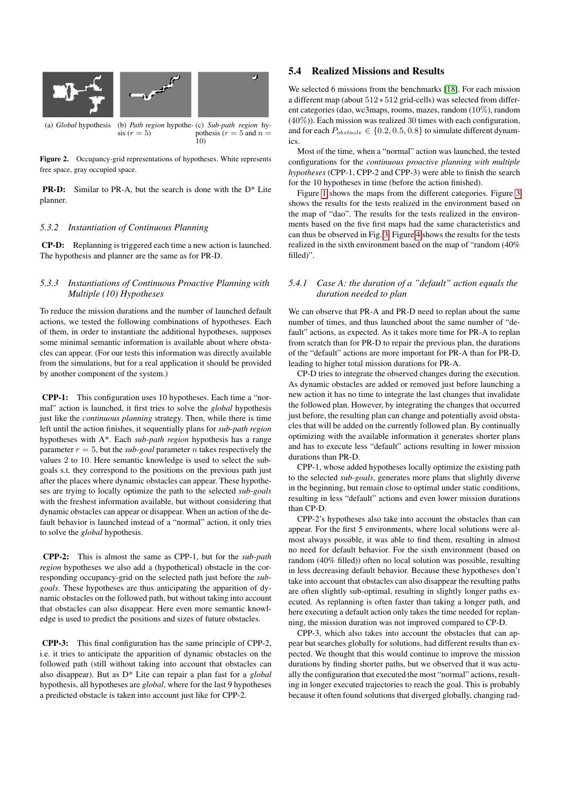<span id="page-6-0"></span>

<span id="page-6-1"></span>Figure 2. Occupancy-grid representations of hypotheses. White represents free space, gray occupied space.

PR-D: Similar to PR-A, but the search is done with the D\* Lite planner.

#### *5.3.2 Instantiation of Continuous Planning*

CP-D: Replanning is triggered each time a new action is launched. The hypothesis and planner are the same as for PR-D.

#### *5.3.3 Instantiations of Continuous Proactive Planning with Multiple (10) Hypotheses*

To reduce the mission durations and the number of launched default actions, we tested the following combinations of hypotheses. Each of them, in order to instantiate the additional hypotheses, supposes some minimal semantic information is available about where obstacles can appear. (For our tests this information was directly available from the simulations, but for a real application it should be provided by another component of the system.)

CPP-1: This configuration uses 10 hypotheses. Each time a "normal" action is launched, it first tries to solve the *global* hypothesis just like the *continuous planning* strategy. Then, while there is time left until the action finishes, it sequentially plans for *sub-path region* hypotheses with A\*. Each *sub-path region* hypothesis has a range parameter  $r = 5$ , but the *sub-goal* parameter n takes respectively the values 2 to 10. Here semantic knowledge is used to select the subgoals s.t. they correspond to the positions on the previous path just after the places where dynamic obstacles can appear. These hypotheses are trying to locally optimize the path to the selected *sub-goals* with the freshest information available, but without considering that dynamic obstacles can appear or disappear. When an action of the default behavior is launched instead of a "normal" action, it only tries to solve the *global* hypothesis.

CPP-2: This is almost the same as CPP-1, but for the *sub-path region* hypotheses we also add a (hypothetical) obstacle in the corresponding occupancy-grid on the selected path just before the *subgoals*. These hypotheses are thus anticipating the apparition of dynamic obstacles on the followed path, but without taking into account that obstacles can also disappear. Here even more semantic knowledge is used to predict the positions and sizes of future obstacles.

CPP-3: This final configuration has the same principle of CPP-2, i.e. it tries to anticipate the apparition of dynamic obstacles on the followed path (still without taking into account that obstacles can also disappear). But as D\* Lite can repair a plan fast for a *global* hypothesis, all hypotheses are *global*, where for the last 9 hypotheses a predicted obstacle is taken into account just like for CPP-2.

# 5.4 Realized Missions and Results

<span id="page-6-2"></span>We selected 6 missions from the benchmarks [\[18\]](#page-9-18). For each mission a different map (about 512 ∗ 512 grid-cells) was selected from different categories (dao, wc3maps, rooms, mazes, random (10%), random (40%)). Each mission was realized 30 times with each configuration, and for each  $P_{obstack} \in \{0.2, 0.5, 0.8\}$  to simulate different dynamics.

Most of the time, when a "normal" action was launched, the tested configurations for the *continuous proactive planning with multiple hypotheses* (CPP-1, CPP-2 and CPP-3) were able to finish the search for the 10 hypotheses in time (before the action finished).

Figure [1](#page-4-1) shows the maps from the different categories. Figure [3](#page-7-0) shows the results for the tests realized in the environment based on the map of "dao". The results for the tests realized in the environments based on the five first maps had the same characteristics and can thus be observed in Fig. [3.](#page-7-0) Figure [4](#page-7-1) shows the results for the tests realized in the sixth environment based on the map of "random (40% filled)".

#### *5.4.1 Case A: the duration of a "default" action equals the duration needed to plan*

We can observe that PR-A and PR-D need to replan about the same number of times, and thus launched about the same number of "default" actions, as expected. As it takes more time for PR-A to replan from scratch than for PR-D to repair the previous plan, the durations of the "default" actions are more important for PR-A than for PR-D, leading to higher total mission durations for PR-A.

CP-D tries to integrate the observed changes during the execution. As dynamic obstacles are added or removed just before launching a new action it has no time to integrate the last changes that invalidate the followed plan. However, by integrating the changes that occurred just before, the resulting plan can change and potentially avoid obstacles that will be added on the currently followed plan. By continually optimizing with the available information it generates shorter plans and has to execute less "default" actions resulting in lower mission durations than PR-D.

CPP-1, whose added hypotheses locally optimize the existing path to the selected *sub-goals*, generates more plans that slightly diverse in the beginning, but remain close to optimal under static conditions, resulting in less "default" actions and even lower mission durations than CP-D.

CPP-2's hypotheses also take into account the obstacles than can appear. For the first 5 environments, where local solutions were almost always possible, it was able to find them, resulting in almost no need for default behavior. For the sixth environment (based on random (40% filled)) often no local solution was possible, resulting in less decreasing default behavior. Because these hypotheses don't take into account that obstacles can also disappear the resulting paths are often slightly sub-optimal, resulting in slightly longer paths executed. As replanning is often faster than taking a longer path, and here executing a default action only takes the time needed for replanning, the mission duration was not improved compared to CP-D.

CPP-3, which also takes into account the obstacles that can appear but searches globally for solutions, had different results than expected. We thought that this would continue to improve the mission durations by finding shorter paths, but we observed that it was actually the configuration that executed the most "normal" actions, resulting in longer executed trajectories to reach the goal. This is probably because it often found solutions that diverged globally, changing rad-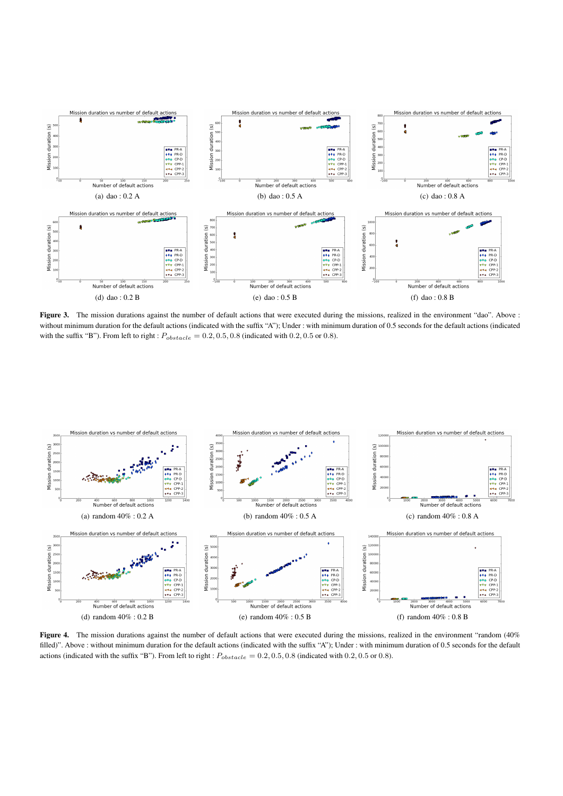

<span id="page-7-0"></span>Figure 3. The mission durations against the number of default actions that were executed during the missions, realized in the environment "dao". Above : without minimum duration for the default actions (indicated with the suffix "A"); Under : with minimum duration of 0.5 seconds for the default actions (indicated with the suffix "B"). From left to right :  $P_{obstack} = 0.2, 0.5, 0.8$  (indicated with 0.2, 0.5 or 0.8).



<span id="page-7-1"></span>Figure 4. The mission durations against the number of default actions that were executed during the missions, realized in the environment "random (40%) filled)". Above : without minimum duration for the default actions (indicated with the suffix "A"); Under : with minimum duration of 0.5 seconds for the default actions (indicated with the suffix "B"). From left to right :  $P_{obstack} = 0.2, 0.5, 0.8$  (indicated with 0.2, 0.5 or 0.8).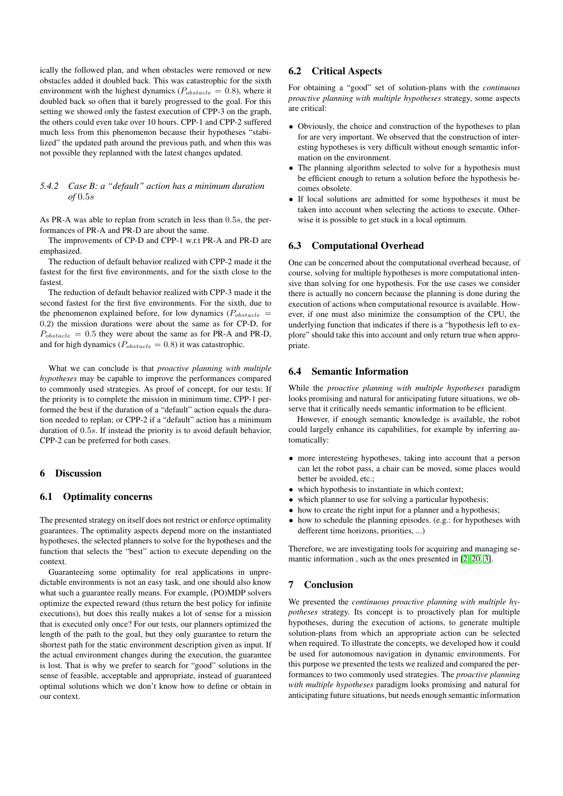ically the followed plan, and when obstacles were removed or new obstacles added it doubled back. This was catastrophic for the sixth environment with the highest dynamics ( $P_{obstack} = 0.8$ ), where it doubled back so often that it barely progressed to the goal. For this setting we showed only the fastest execution of CPP-3 on the graph, the others could even take over 10 hours. CPP-1 and CPP-2 suffered much less from this phenomenon because their hypotheses "stabilized" the updated path around the previous path, and when this was not possible they replanned with the latest changes updated.

### *5.4.2 Case B: a "default" action has a minimum duration of* 0.5s

As PR-A was able to replan from scratch in less than 0.5s, the performances of PR-A and PR-D are about the same.

The improvements of CP-D and CPP-1 w.r.t PR-A and PR-D are emphasized.

The reduction of default behavior realized with CPP-2 made it the fastest for the first five environments, and for the sixth close to the fastest.

The reduction of default behavior realized with CPP-3 made it the second fastest for the first five environments. For the sixth, due to the phenomenon explained before, for low dynamics ( $P_{obstack}$  = 0.2) the mission durations were about the same as for CP-D, for  $P_{obstack} = 0.5$  they were about the same as for PR-A and PR-D, and for high dynamics ( $P_{obstack} = 0.8$ ) it was catastrophic.

What we can conclude is that *proactive planning with multiple hypotheses* may be capable to improve the performances compared to commonly used strategies. As proof of concept, for our tests: If the priority is to complete the mission in minimum time, CPP-1 performed the best if the duration of a "default" action equals the duration needed to replan; or CPP-2 if a "default" action has a minimum duration of 0.5s. If instead the priority is to avoid default behavior, CPP-2 can be preferred for both cases.

## <span id="page-8-0"></span>6 Discussion

# 6.1 Optimality concerns

The presented strategy on itself does not restrict or enforce optimality guarantees. The optimality aspects depend more on the instantiated hypotheses, the selected planners to solve for the hypotheses and the function that selects the "best" action to execute depending on the context.

Guaranteeing some optimality for real applications in unpredictable environments is not an easy task, and one should also know what such a guarantee really means. For example, (PO)MDP solvers optimize the expected reward (thus return the best policy for infinite executions), but does this really makes a lot of sense for a mission that is executed only once? For our tests, our planners optimized the length of the path to the goal, but they only guarantee to return the shortest path for the static environment description given as input. If the actual environment changes during the execution, the guarantee is lost. That is why we prefer to search for "good" solutions in the sense of feasible, acceptable and appropriate, instead of guaranteed optimal solutions which we don't know how to define or obtain in our context.

#### 6.2 Critical Aspects

For obtaining a "good" set of solution-plans with the *continuous proactive planning with multiple hypotheses* strategy, some aspects are critical:

- Obviously, the choice and construction of the hypotheses to plan for are very important. We observed that the construction of interesting hypotheses is very difficult without enough semantic information on the environment.
- The planning algorithm selected to solve for a hypothesis must be efficient enough to return a solution before the hypothesis becomes obsolete.
- If local solutions are admitted for some hypotheses it must be taken into account when selecting the actions to execute. Otherwise it is possible to get stuck in a local optimum.

# 6.3 Computational Overhead

One can be concerned about the computational overhead because, of course, solving for multiple hypotheses is more computational intensive than solving for one hypothesis. For the use cases we consider there is actually no concern because the planning is done during the execution of actions when computational resource is available. However, if one must also minimize the consumption of the CPU, the underlying function that indicates if there is a "hypothesis left to explore" should take this into account and only return true when appropriate.

# 6.4 Semantic Information

While the *proactive planning with multiple hypotheses* paradigm looks promising and natural for anticipating future situations, we observe that it critically needs semantic information to be efficient.

However, if enough semantic knowledge is available, the robot could largely enhance its capabilities, for example by inferring automatically:

- more interesteing hypotheses, taking into account that a person can let the robot pass, a chair can be moved, some places would better be avoided, etc.;
- which hypothesis to instantiate in which context;
- which planner to use for solving a particular hypothesis;
- how to create the right input for a planner and a hypothesis;
- how to schedule the planning episodes. (e.g.: for hypotheses with defferent time horizons, priorities, ...)

Therefore, we are investigating tools for acquiring and managing semantic information , such as the ones presented in [\[2,](#page-9-19) [20,](#page-9-20) [3\]](#page-9-21).

# 7 Conclusion

We presented the *continuous proactive planning with multiple hypotheses* strategy. Its concept is to proactively plan for multiple hypotheses, during the execution of actions, to generate multiple solution-plans from which an appropriate action can be selected when required. To illustrate the concepts, we developed how it could be used for autonomous navigation in dynamic environments. For this purpose we presented the tests we realized and compared the performances to two commonly used strategies. The *proactive planning with multiple hypotheses* paradigm looks promising and natural for anticipating future situations, but needs enough semantic information